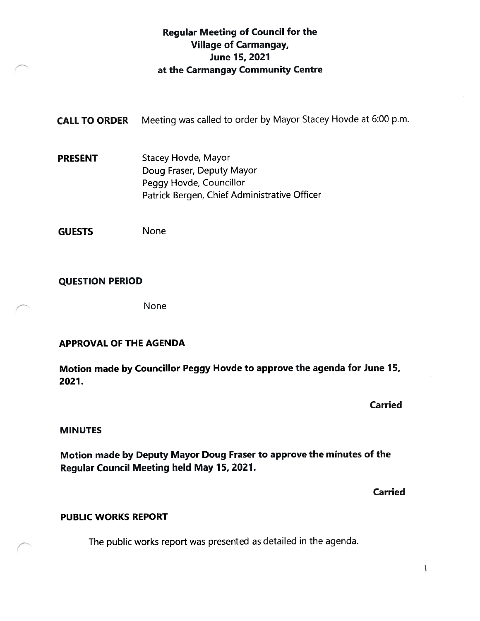### Regular Meeting of Council for the Village of Carmangay, June 15, 2021 at the Carmangay Community Centre

CALL TO ORDER Meeting was called to order by Mayor Stacey Hovde at 6:00 p.m.

PRESENT Stacey Hovde, Mayor Doug Fraser, Deputy Mayor Peggy Hovde, Councillor Patrick Bergen, Chief Administrative Officer

GUESTS None

#### QUESTION PERIOD

None

#### APPROVAL OF THE AGENDA

Motion made by Councillor Peggy Hovde to approve the agenda for June 15, 2027.

Carried

#### MINUTES

Motion made by Deputy Mayor Doug Fraser to approve the minutes of the Regular Council Meeting held May 15, 2027.

Carried

#### PUBLIC WORKS REPORT

The public works report was presented as detailed in the agenda.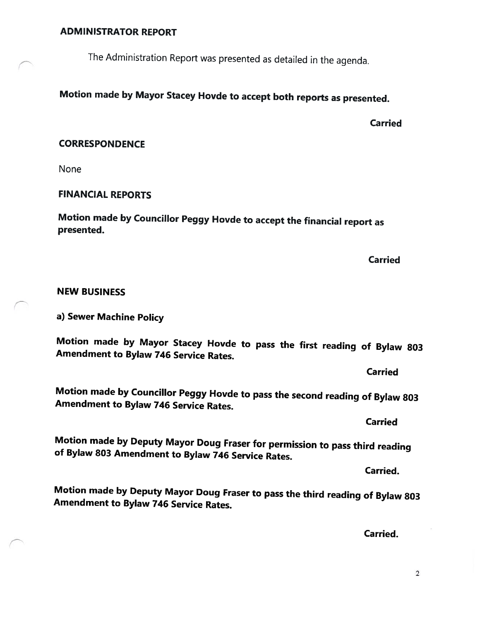#### ADMINISTRATOR REPORT

The Administration Report was presented as detailed in the agenda.

## Motion made by Mayor Stacey Hovde to accept both reports as presented.

**Carried** 

#### **CORRESPONDENCE**

None

#### FINANCIAL REPORTS

Motion made by Councillor Peggy Hovde to accept the financial report as presented.

Carried

#### NEW BUSINESS

a) Sewer Machine Policy

Motion made by Mayor Stacey Hovde to pass the first reading of Bylaw <sup>803</sup> Amendment to Bylaw <sup>746</sup> Service Rates.

Carried

Motion made by Councillor Peggy Hovde to pass the second reading of Bylaw <sup>803</sup> Amendment to Bylaw <sup>746</sup> Service Rates.

Motion made by Deputy Mayor Doug Fraser for permission to pass third reading of Bylaw \$03 Amendment to Bylaw <sup>746</sup> Service Rates.

Carried.

Motion made by Deputy Mayor Doug Fraser to pass the third reading of Bylaw <sup>803</sup> Amendment to Bylaw <sup>746</sup> Service Rates.

Carried.

**Carried**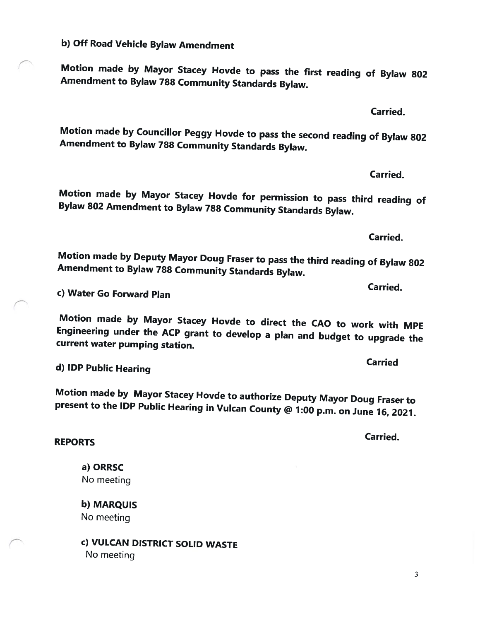b) Off Road Vehicle Bylaw Amendment

Motion made by Mayor Stacey Hovde to pass the first reading of Bylaw <sup>802</sup> Amendment to Bylaw <sup>788</sup> Community Standards Bylaw.

Motion made by Councillor Peggy Hovde to pass the second reading of Bylaw <sup>802</sup> Amendment to Bylaw <sup>788</sup> Community Standards Bylaw.

Motion made by Mayor Stacey Hovde for permission to pass third reading of Bylaw <sup>802</sup> Amendment to Bylaw <sup>788</sup> Community Standards Bylaw.

Motion made by Deputy Mayor Doug Fraser to pass the third reading of Bylaw <sup>802</sup> Amendment to Bylaw <sup>788</sup> Community Standards Bylaw.

c) Water Go Forward Plan

Motion made by Mayor Stacey Hovde to direct the CAO to work with MPE Engineering under the ACP grant to develop <sup>a</sup> <sup>p</sup>lan and budget to upgrade the current water pumping station.

d) IDP Public Hearing

Motion made by Mayor Stacey Hovde to authorize Deputy Mayor Doug Fraser to present to the IDP Public Hearing in Vulcan County @ 1:00 p.m. on June 16, 2021.

a) ORRSC

No meeting

REPORTS

b) MARQUIS No meeting

c) VULCAN DISTRICT SOLID WASTE No meeting

Carried

Carried.

Carried.

Carried.

Carried.

Carried.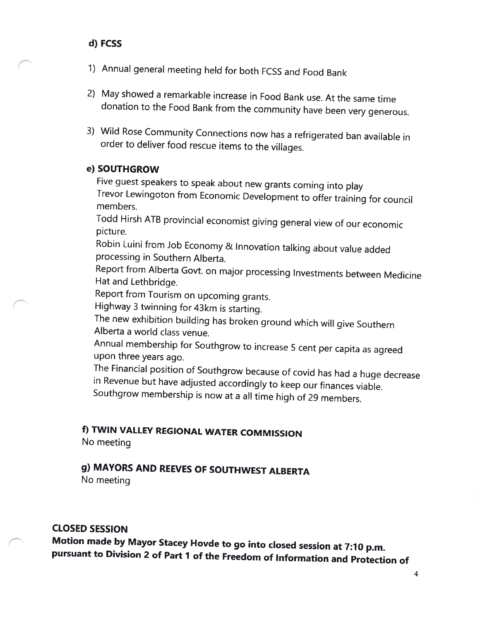#### d) FCSS

- 1) Annual general meeting held for both FCSS and Food Bank
- 2) May showed <sup>a</sup> remarkable increase in Food Bank use. At the same time donation to the Food Bank from the community have been very generous.
- 3) Wild Rose Community Connections now has <sup>a</sup> refrigerated ban available in order to deliver food rescue items to the villages.

#### e) SOUTHGROW

Five guest speakers to speak about new grants coming into <sup>p</sup>lay Trevor Lewingoton from Economic Development to offer training for council members.

Todd Hirsh ATB provincial economist <sup>g</sup>iving general view of our economic picture.

Robin Luini from Job Economy & Innovation talking about value added processing in Southern Alberta.

Report from Alberta Govt. on major processing Investments between Medicine Hat and Lethbridge.

Report from Tourism on upcoming grants.

Highway <sup>3</sup> twinning for 43km is starting.

The new exhibition building has broken ground which will <sup>g</sup>ive Southern Alberta <sup>a</sup> world class venue.

Annual membership for Southgrow to increase <sup>5</sup> cent per capita as agreed upon three years ago.

The Financial position of Southgrow because of covid has had <sup>a</sup> huge decrease in Revenue but have adjusted accordingly to keep our finances viable. Southgrow membership is now at <sup>a</sup> all time high of <sup>29</sup> members.

# f) TWIN VALLEY REGIONAL WATER COMMISSION

No meeting

# g) MAYORS AND REEVES OF SOUTHWEST ALBERTA

No meeting

### CLOSED SESSION

Motion made by Mayor Stacey Hovde to go into closed session at 7:70 p.m. pursuant to Division <sup>2</sup> of Part <sup>1</sup> of the Freedom of Information and Protection of